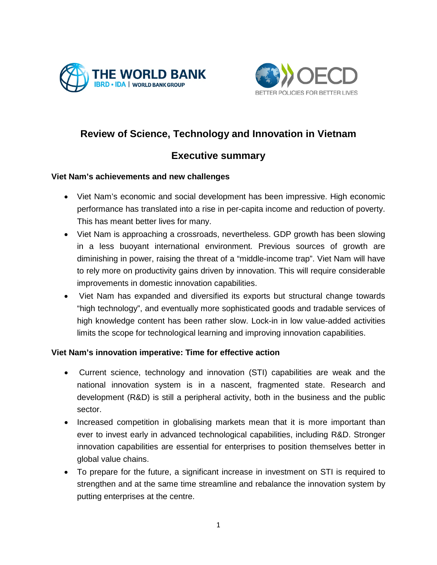



# **Review of Science, Technology and Innovation in Vietnam**

# **Executive summary**

## **Viet Nam's achievements and new challenges**

- Viet Nam's economic and social development has been impressive. High economic performance has translated into a rise in per-capita income and reduction of poverty. This has meant better lives for many.
- Viet Nam is approaching a crossroads, nevertheless. GDP growth has been slowing in a less buoyant international environment. Previous sources of growth are diminishing in power, raising the threat of a "middle-income trap". Viet Nam will have to rely more on productivity gains driven by innovation. This will require considerable improvements in domestic innovation capabilities.
- Viet Nam has expanded and diversified its exports but structural change towards "high technology", and eventually more sophisticated goods and tradable services of high knowledge content has been rather slow. Lock-in in low value-added activities limits the scope for technological learning and improving innovation capabilities.

## **Viet Nam's innovation imperative: Time for effective action**

- Current science, technology and innovation (STI) capabilities are weak and the national innovation system is in a nascent, fragmented state. Research and development (R&D) is still a peripheral activity, both in the business and the public sector.
- Increased competition in globalising markets mean that it is more important than ever to invest early in advanced technological capabilities, including R&D. Stronger innovation capabilities are essential for enterprises to position themselves better in global value chains.
- To prepare for the future, a significant increase in investment on STI is required to strengthen and at the same time streamline and rebalance the innovation system by putting enterprises at the centre.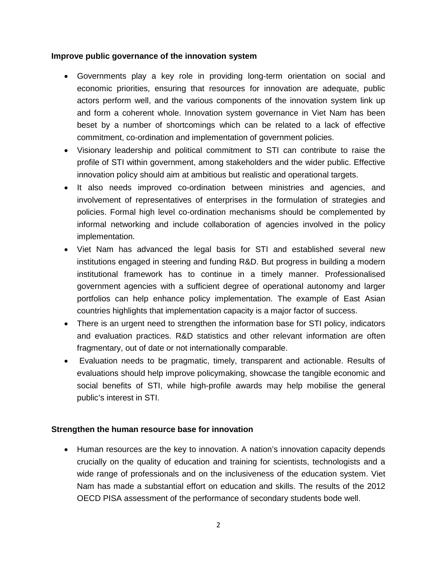#### **Improve public governance of the innovation system**

- Governments play a key role in providing long-term orientation on social and economic priorities, ensuring that resources for innovation are adequate, public actors perform well, and the various components of the innovation system link up and form a coherent whole. Innovation system governance in Viet Nam has been beset by a number of shortcomings which can be related to a lack of effective commitment, co-ordination and implementation of government policies.
- Visionary leadership and political commitment to STI can contribute to raise the profile of STI within government, among stakeholders and the wider public. Effective innovation policy should aim at ambitious but realistic and operational targets.
- It also needs improved co-ordination between ministries and agencies, and involvement of representatives of enterprises in the formulation of strategies and policies. Formal high level co-ordination mechanisms should be complemented by informal networking and include collaboration of agencies involved in the policy implementation.
- Viet Nam has advanced the legal basis for STI and established several new institutions engaged in steering and funding R&D. But progress in building a modern institutional framework has to continue in a timely manner. Professionalised government agencies with a sufficient degree of operational autonomy and larger portfolios can help enhance policy implementation. The example of East Asian countries highlights that implementation capacity is a major factor of success.
- There is an urgent need to strengthen the information base for STI policy, indicators and evaluation practices. R&D statistics and other relevant information are often fragmentary, out of date or not internationally comparable.
- Evaluation needs to be pragmatic, timely, transparent and actionable. Results of evaluations should help improve policymaking, showcase the tangible economic and social benefits of STI, while high-profile awards may help mobilise the general public's interest in STI.

## **Strengthen the human resource base for innovation**

• Human resources are the key to innovation. A nation's innovation capacity depends crucially on the quality of education and training for scientists, technologists and a wide range of professionals and on the inclusiveness of the education system. Viet Nam has made a substantial effort on education and skills. The results of the 2012 OECD PISA assessment of the performance of secondary students bode well.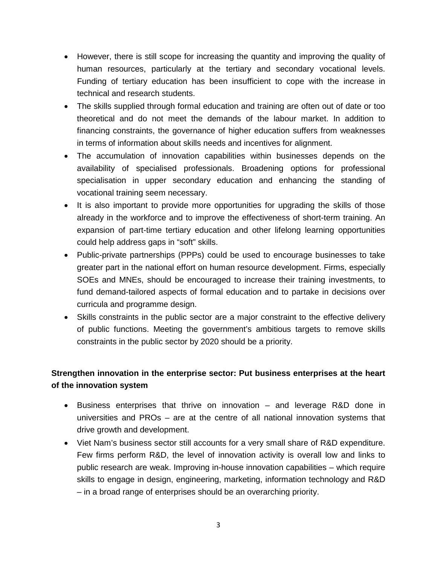- However, there is still scope for increasing the quantity and improving the quality of human resources, particularly at the tertiary and secondary vocational levels. Funding of tertiary education has been insufficient to cope with the increase in technical and research students.
- The skills supplied through formal education and training are often out of date or too theoretical and do not meet the demands of the labour market. In addition to financing constraints, the governance of higher education suffers from weaknesses in terms of information about skills needs and incentives for alignment.
- The accumulation of innovation capabilities within businesses depends on the availability of specialised professionals. Broadening options for professional specialisation in upper secondary education and enhancing the standing of vocational training seem necessary.
- It is also important to provide more opportunities for upgrading the skills of those already in the workforce and to improve the effectiveness of short-term training. An expansion of part-time tertiary education and other lifelong learning opportunities could help address gaps in "soft" skills.
- Public-private partnerships (PPPs) could be used to encourage businesses to take greater part in the national effort on human resource development. Firms, especially SOEs and MNEs, should be encouraged to increase their training investments, to fund demand-tailored aspects of formal education and to partake in decisions over curricula and programme design.
- Skills constraints in the public sector are a major constraint to the effective delivery of public functions. Meeting the government's ambitious targets to remove skills constraints in the public sector by 2020 should be a priority.

# **Strengthen innovation in the enterprise sector: Put business enterprises at the heart of the innovation system**

- Business enterprises that thrive on innovation and leverage R&D done in universities and PROs – are at the centre of all national innovation systems that drive growth and development.
- Viet Nam's business sector still accounts for a very small share of R&D expenditure. Few firms perform R&D, the level of innovation activity is overall low and links to public research are weak. Improving in-house innovation capabilities – which require skills to engage in design, engineering, marketing, information technology and R&D – in a broad range of enterprises should be an overarching priority.